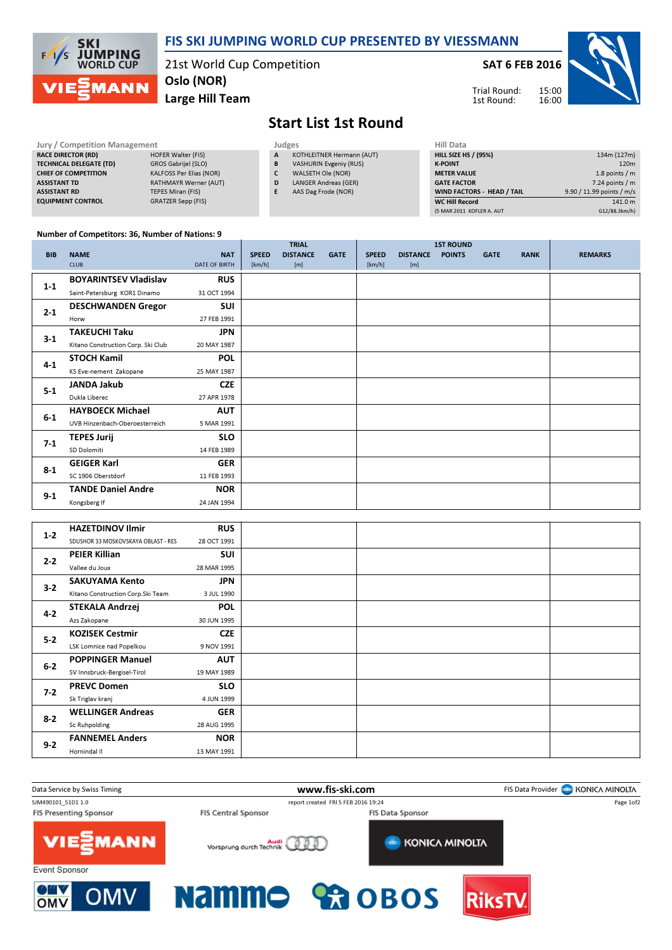

## FIS SKI JUMPING WORLD CUP PRESENTED BY VIESSMANN

21st World Cup Competition Oslo (NOR)

Large Hill Team

SAT 6 FEB 2016



Trial Round: 1st Round:

## Start List 1st Round

| Jury / Competition Management  |                                |  |              | Judges                        |                    |  |  |  |  |
|--------------------------------|--------------------------------|--|--------------|-------------------------------|--------------------|--|--|--|--|
| <b>RACE DIRECTOR (RD)</b>      | HOFER Walter (FIS)             |  | $\mathbf{A}$ | KOTHLEITNER Hermann (AUT)     | <b>HILL SIZE H</b> |  |  |  |  |
| <b>TECHNICAL DELEGATE (TD)</b> | GROS Gabrijel (SLO)            |  | B            | <b>VASHURIN Evgeniy (RUS)</b> | <b>K-POINT</b>     |  |  |  |  |
| <b>CHIEF OF COMPETITION</b>    | <b>KALFOSS Per Elias (NOR)</b> |  |              | WALSETH Ole (NOR)             | <b>METER VAI</b>   |  |  |  |  |
| <b>ASSISTANT TD</b>            | <b>RATHMAYR Werner (AUT)</b>   |  | D            | <b>LANGER Andreas (GER)</b>   | <b>GATE FACT</b>   |  |  |  |  |
| <b>ASSISTANT RD</b>            | TEPES Miran (FIS)              |  |              | AAS Dag Frode (NOR)           | <b>WIND FACT</b>   |  |  |  |  |
| <b>EQUIPMENT CONTROL</b>       | <b>GRATZER Sepp (FIS)</b>      |  |              |                               | <b>WC Hill Reg</b> |  |  |  |  |

| 134m (127m)               |
|---------------------------|
| 120 <sub>m</sub>          |
| 1.8 points $/m$           |
| $7.24$ points / m         |
| 9.90 / 11.99 points / m/s |
| 141.0 m                   |
| G12/88.3km/h)             |
|                           |

## Number of Competitors: 36, Number of Nations: 9

|            |                                    |                      |              | <b>TRIAL</b>    |             |              |                 | <b>1ST ROUND</b> |             |             |                |
|------------|------------------------------------|----------------------|--------------|-----------------|-------------|--------------|-----------------|------------------|-------------|-------------|----------------|
| <b>BIB</b> | <b>NAME</b>                        | <b>NAT</b>           | <b>SPEED</b> | <b>DISTANCE</b> | <b>GATE</b> | <b>SPEED</b> | <b>DISTANCE</b> | <b>POINTS</b>    | <b>GATE</b> | <b>RANK</b> | <b>REMARKS</b> |
|            | <b>CLUB</b>                        | <b>DATE OF BIRTH</b> | [km/h]       | [m]             |             | [km/h]       | [m]             |                  |             |             |                |
| $1 - 1$    | <b>BOYARINTSEV Vladislav</b>       | <b>RUS</b>           |              |                 |             |              |                 |                  |             |             |                |
|            | Saint-Petersburg KOR1 Dinamo       | 31 OCT 1994          |              |                 |             |              |                 |                  |             |             |                |
| $2 - 1$    | <b>DESCHWANDEN Gregor</b>          | <b>SUI</b>           |              |                 |             |              |                 |                  |             |             |                |
|            | Horw                               | 27 FEB 1991          |              |                 |             |              |                 |                  |             |             |                |
| $3-1$      | <b>TAKEUCHI Taku</b>               | <b>JPN</b>           |              |                 |             |              |                 |                  |             |             |                |
|            | Kitano Construction Corp. Ski Club | 20 MAY 1987          |              |                 |             |              |                 |                  |             |             |                |
| $4 - 1$    | <b>STOCH Kamil</b>                 | <b>POL</b>           |              |                 |             |              |                 |                  |             |             |                |
|            | KS Eve-nement Zakopane             | 25 MAY 1987          |              |                 |             |              |                 |                  |             |             |                |
| $5-1$      | <b>JANDA Jakub</b>                 | <b>CZE</b>           |              |                 |             |              |                 |                  |             |             |                |
|            | Dukla Liberec                      | 27 APR 1978          |              |                 |             |              |                 |                  |             |             |                |
| $6-1$      | <b>HAYBOECK Michael</b>            | <b>AUT</b>           |              |                 |             |              |                 |                  |             |             |                |
|            | UVB Hinzenbach-Oberoesterreich     | 5 MAR 1991           |              |                 |             |              |                 |                  |             |             |                |
| $7-1$      | <b>TEPES Jurij</b>                 | <b>SLO</b>           |              |                 |             |              |                 |                  |             |             |                |
|            | SD Dolomiti                        | 14 FEB 1989          |              |                 |             |              |                 |                  |             |             |                |
| $8-1$      | <b>GEIGER Karl</b>                 | <b>GER</b>           |              |                 |             |              |                 |                  |             |             |                |
|            | SC 1906 Oberstdorf                 | 11 FEB 1993          |              |                 |             |              |                 |                  |             |             |                |
|            | <b>TANDE Daniel Andre</b>          | <b>NOR</b>           |              |                 |             |              |                 |                  |             |             |                |
| $9-1$      | Kongsberg If                       | 24 JAN 1994          |              |                 |             |              |                 |                  |             |             |                |

| $1 - 2$ | <b>HAZETDINOV Ilmir</b>             | <b>RUS</b>  |  |  |
|---------|-------------------------------------|-------------|--|--|
|         | SDUSHOR 33 MOSKOVSKAYA OBLAST - RES | 28 OCT 1991 |  |  |
| $2 - 2$ | <b>PEIER Killian</b>                | <b>SUI</b>  |  |  |
|         | Vallee du Joux                      | 28 MAR 1995 |  |  |
| $3-2$   | <b>SAKUYAMA Kento</b>               | <b>JPN</b>  |  |  |
|         | Kitano Construction Corp. Ski Team  | 3 JUL 1990  |  |  |
| $4 - 2$ | <b>STEKALA Andrzej</b>              | <b>POL</b>  |  |  |
|         | Azs Zakopane                        | 30 JUN 1995 |  |  |
| $5 - 2$ | <b>KOZISEK Cestmir</b>              | <b>CZE</b>  |  |  |
|         | LSK Lomnice nad Popelkou            | 9 NOV 1991  |  |  |
| $6 - 2$ | <b>POPPINGER Manuel</b>             | <b>AUT</b>  |  |  |
|         | SV Innsbruck-Bergisel-Tirol         | 19 MAY 1989 |  |  |
| $7-2$   | <b>PREVC Domen</b>                  | <b>SLO</b>  |  |  |
|         | Sk Triglav kranj                    | 4 JUN 1999  |  |  |
| $8-2$   | <b>WELLINGER Andreas</b>            | <b>GER</b>  |  |  |
|         | Sc Ruhpolding                       | 28 AUG 1995 |  |  |
| $9 - 2$ | <b>FANNEMEL Anders</b>              | <b>NOR</b>  |  |  |
|         | Hornindal II                        | 13 MAY 1991 |  |  |